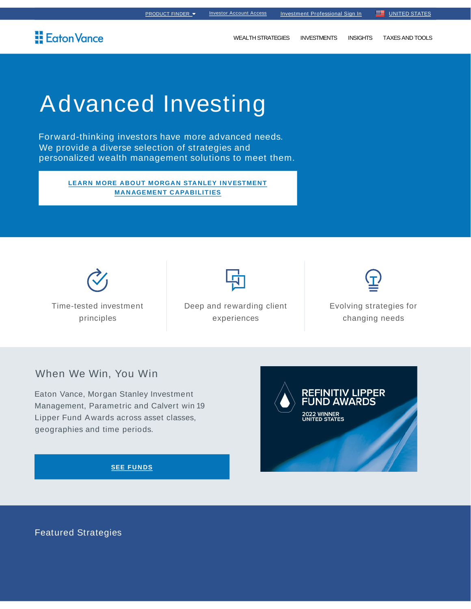## **Eaton Vance**

**WEALTH STRATEGIES INVESTMENTS INSIGHTS** TAXES AND TOOLS

# **Advanced Investing**

Forward-thinking investors have more advanced needs. We provide a diverse selection of strategies and personalized wealth management solutions to meet them.

> LEARN MORE ABOUT MORGAN STANLEY INVESTMENT **MANAGEMENT CAPABILITIES**

Time-tested investment principles

Deep and rewarding client experiences

Evolving strategies for changing needs

#### When We Win, You Win

Eaton Vance, Morgan Stanley Investment Management, Parametric and Calvert win 19 Lipper Fund Awards across asset classes, geographies and time periods.

**2022 WINNER**<br>UNITED STATES

**SEE FUNDS** 

**Featured Strategies**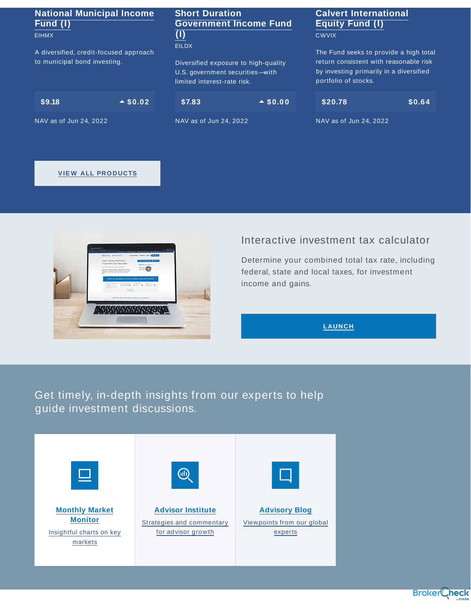### **National Municipal Income Fund (I)**

EIHMX

A diversified, credit-focused approach to municipal bond investing.

| S9.18 | $\triangle$ \$0.02 |
|-------|--------------------|
|-------|--------------------|

NAV as of Jun 24, 2022

#### **Short Duration Government Income Fund (I)** EILDX

Diversified exposure to high-quality U.S. government securities —with limited interest-rate risk.

 $$7.83$   $\rightarrow$  \$0.00

NAV as of Jun 24, 2022

### **Calvert International Equity Fund (I)**

**CWVIX** 

The Fund seeks to provide a high total return consistent with reasonable risk by investing primarily in a diversified portfolio of stocks.

| \$20.78 | \$0.64\$ |
|---------|----------|
|         |          |

NAV as of Jun 24, 2022

#### **VIEW ALL PRODUCTS**



### Interactive investment tax calculator

Determine your combined total tax rate, including federal, state and local taxes, for investment income and gains.

**LAUNCH**

## Get timely, in-depth insights from our experts to help guide investment discussions.

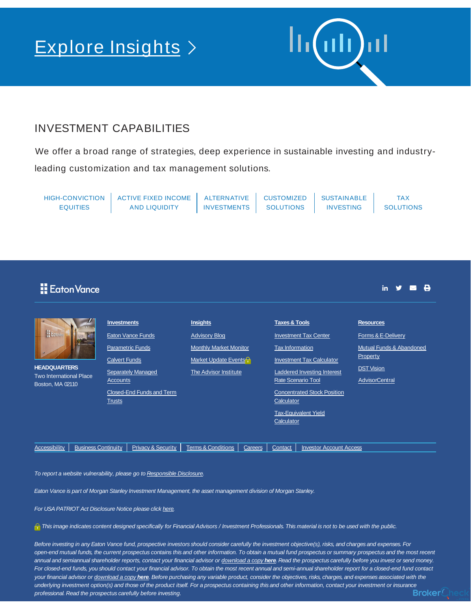## Explore Insights >

#### INVESTMENT CAPABILITIES

We offer a broad range of strategies, deep experience in sustainable investing and industryleading customization and tax management solutions.

HIGH-CONVICTION EQUITIES ACTIVE FIXED INCOME AND LIQUIDITY ALTERNATIVE INVESTMENTS **CUSTOMIZED SOLUTIONS** SUSTAINABLE INVESTING TAX **SOLUTIONS** 

## **E**dton Vance

in  $\mathcal Y$ 

| H Eoton's<br><b>HEADQUARTERS</b><br><b>Two International Place</b><br>Boston, MA 02110 |                            | <b>Investments</b><br><b>Calvert Funds</b><br>Accounts | Eaton Vance Funds<br><b>Parametric Funds</b><br><b>Separately Managed</b> | <b>Insights</b><br><b>Advisory Blog</b><br><b>Monthly Market Monitor</b><br>Market Update Events <sup>2</sup><br>The Advisor Institute |         | <b>Taxes &amp; Tools</b><br><b>Investment Tax Center</b><br><b>Tax Information</b><br><b>Investment Tax Calculator</b><br><b>Laddered Investing Interest</b><br><b>Rate Scenario Tool</b> |                                    | <b>Resources</b><br>Forms & E-Delivery<br>Mutual Funds & Abandoned<br>Property<br><b>DST Vision</b><br><b>AdvisorCentral</b> |
|----------------------------------------------------------------------------------------|----------------------------|--------------------------------------------------------|---------------------------------------------------------------------------|----------------------------------------------------------------------------------------------------------------------------------------|---------|-------------------------------------------------------------------------------------------------------------------------------------------------------------------------------------------|------------------------------------|------------------------------------------------------------------------------------------------------------------------------|
|                                                                                        |                            | <b>Trusts</b>                                          | Closed-End Funds and Term                                                 |                                                                                                                                        |         | Calculator                                                                                                                                                                                | <b>Concentrated Stock Position</b> |                                                                                                                              |
|                                                                                        |                            |                                                        |                                                                           |                                                                                                                                        |         | Calculator                                                                                                                                                                                | <b>Tax-Equivalent Yield</b>        |                                                                                                                              |
| Accessibility                                                                          | <b>Business Continuity</b> |                                                        | <b>Privacy &amp; Security</b>                                             | <b>Terms &amp; Conditions</b>                                                                                                          | Careers | Contact                                                                                                                                                                                   | <b>Investor Account Access</b>     |                                                                                                                              |

To report a website vulnerability, please go to Responsible Disclosure.

Eaton Vance is part of Morgan Stanley Investment Management, the asset management division of Morgan Stanley.

For USA PATRIOT Act Disclosure Notice please click here.

This image indicates content designed specifically for Financial Advisors / Investment Professionals. This material is not to be used with the public.

Before investing in any Eaton Vance fund, prospective investors should consider carefully the investment objective(s), risks, and charges and expenses. For open-end mutual funds, the current prospectus contains this and other information. To obtain a mutual fund prospectus or summary prospectus and the most recent annual and semiannual shareholder reports, contact your financial advisor or download a copy **here**. Read the prospectus carefully before you invest or send money. For closed-end funds, you should contact your financial advisor. To obtain the most recent annual and semi-annual shareholder report for a closed-end fund contact your financial advisor or download a copy **here**. Before purchasing any variable product, consider the objectives, risks, charges, and expenses associated with the underlying investment option(s) and those of the product itself. For a prospectus containing this and other information, contact your investment or insurance professional. Read the prospectus carefully before investing.

Broker<sup>(</sup>